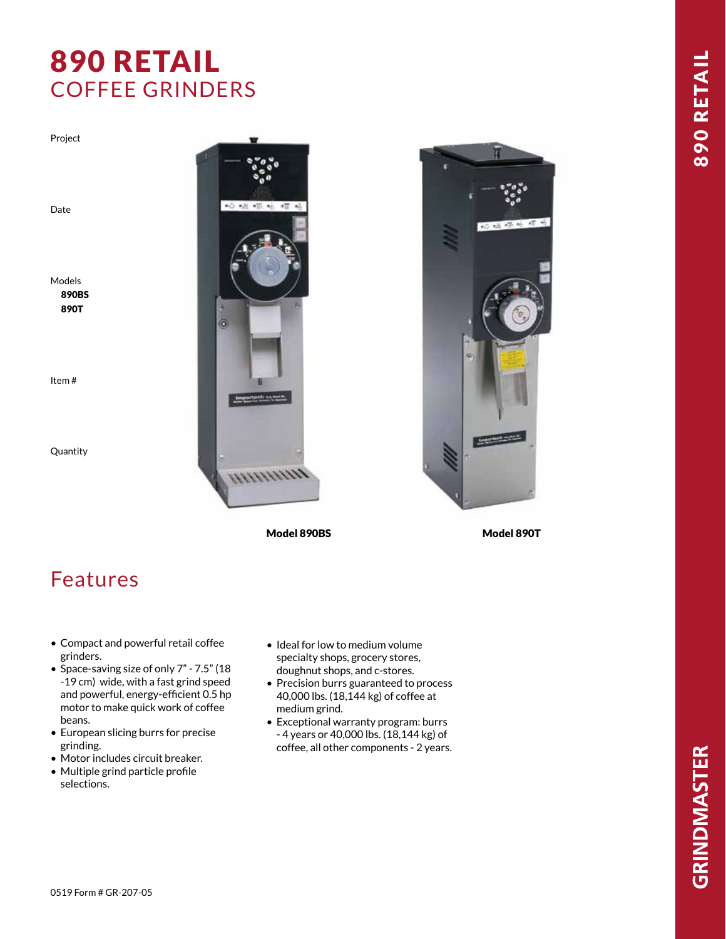## 890 RETAIL COFFEE GRINDERS

Project

Date

Models 890BS 890T

Item #

Quantity



Model 890BS Model 890T



## Features

- Compact and powerful retail coffee grinders.
- Space-saving size of only 7" 7.5" (18 -19 cm) wide, with a fast grind speed and powerful, energy-efficient 0.5 hp motor to make quick work of coffee beans.
- European slicing burrs for precise grinding.
- Motor includes circuit breaker.
- Multiple grind particle profile selections.
- Ideal for low to medium volume specialty shops, grocery stores, doughnut shops, and c-stores.
- Precision burrs guaranteed to process 40,000 lbs. (18,144 kg) of coffee at medium grind.
- Exceptional warranty program: burrs - 4 years or 40,000 lbs. (18,144 kg) of coffee, all other components - 2 years.